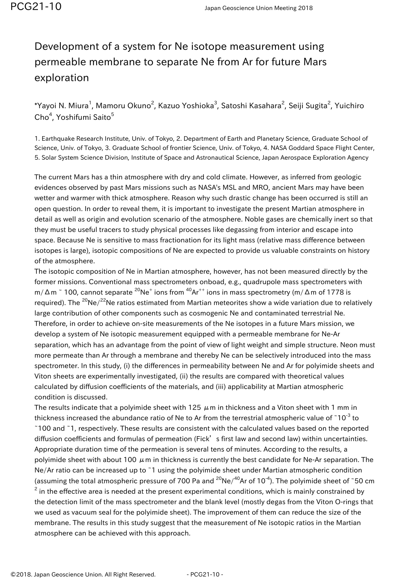## Development of a system for Ne isotope measurement using permeable membrane to separate Ne from Ar for future Mars exploration

 $^*$ Yayoi N. Miura $^1$ , Mamoru Okuno $^2$ , Kazuo Yoshioka $^3$ , Satoshi Kasahara $^2$ , Seiji Sugita $^2$ , Yuichiro Cho<sup>4</sup>, Yoshifumi Saito<sup>5</sup>

1. Earthquake Research Institute, Univ. of Tokyo, 2. Department of Earth and Planetary Science, Graduate School of Science, Univ. of Tokyo, 3. Graduate School of frontier Science, Univ. of Tokyo, 4. NASA Goddard Space Flight Center, 5. Solar System Science Division, Institute of Space and Astronautical Science, Japan Aerospace Exploration Agency

The current Mars has a thin atmosphere with dry and cold climate. However, as inferred from geologic evidences observed by past Mars missions such as NASA's MSL and MRO, ancient Mars may have been wetter and warmer with thick atmosphere. Reason why such drastic change has been occurred is still an open question. In order to reveal them, it is important to investigate the present Martian atmosphere in detail as well as origin and evolution scenario of the atmosphere. Noble gases are chemically inert so that they must be useful tracers to study physical processes like degassing from interior and escape into space. Because Ne is sensitive to mass fractionation for its light mass (relative mass difference between isotopes is large), isotopic compositions of Ne are expected to provide us valuable constraints on history of the atmosphere.

The isotopic composition of Ne in Martian atmosphere, however, has not been measured directly by the former missions. Conventional mass spectrometers onboad, e.g., quadrupole mass spectrometers with m/Δm ~ 100, cannot separate <sup>20</sup>Ne<sup>+</sup> ions from <sup>40</sup>Ar<sup>++</sup> ions in mass spectrometry (m/Δm of 1778 is required). The <sup>20</sup>Ne/<sup>22</sup>Ne ratios estimated from Martian meteorites show a wide variation due to relatively large contribution of other components such as cosmogenic Ne and contaminated terrestrial Ne. Therefore, in order to achieve on-site measurements of the Ne isotopes in a future Mars mission, we develop a system of Ne isotopic measurement equipped with a permeable membrane for Ne-Ar separation, which has an advantage from the point of view of light weight and simple structure. Neon must more permeate than Ar through a membrane and thereby Ne can be selectively introduced into the mass spectrometer. In this study, (i) the differences in permeability between Ne and Ar for polyimide sheets and Viton sheets are experimentally investigated, (ii) the results are compared with theoretical values calculated by diffusion coefficients of the materials, and (iii) applicability at Martian atmospheric condition is discussed.

The results indicate that a polyimide sheet with 125  $\mu$ m in thickness and a Viton sheet with 1 mm in thickness increased the abundance ratio of Ne to Ar from the terrestrial atmospheric value of  $10^{-3}$  to ~100 and ~1, respectively. These results are consistent with the calculated values based on the reported diffusion coefficients and formulas of permeation (Fick's first law and second law) within uncertainties. Appropriate duration time of the permeation is several tens of minutes. According to the results, a polyimide sheet with about 100  $\mu$ m in thickness is currently the best candidate for Ne-Ar separation. The Ne/Ar ratio can be increased up to ~1 using the polyimide sheet under Martian atmospheric condition (assuming the total atmospheric pressure of 700 Pa and <sup>20</sup>Ne/<sup>40</sup>Ar of 10<sup>-4</sup>). The polyimide sheet of ~50 cm  $^2$  in the effective area is needed at the present experimental conditions, which is mainly constrained by the detection limit of the mass spectrometer and the blank level (mostly degas from the Viton O-rings that we used as vacuum seal for the polyimide sheet). The improvement of them can reduce the size of the membrane. The results in this study suggest that the measurement of Ne isotopic ratios in the Martian atmosphere can be achieved with this approach.